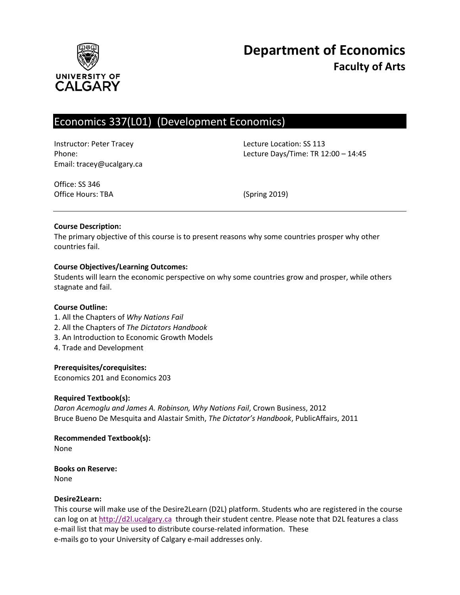

# Economics 337(L01) (Development Economics)

Instructor: Peter Tracey Lecture Location: SS 113 Email: tracey@ucalgary.ca

Phone: Lecture Days/Time: TR 12:00 – 14:45

Office: SS 346 Office Hours: TBA (Spring 2019)

## **Course Description:**

The primary objective of this course is to present reasons why some countries prosper why other countries fail.

## **Course Objectives/Learning Outcomes:**

Students will learn the economic perspective on why some countries grow and prosper, while others stagnate and fail.

## **Course Outline:**

- 1. All the Chapters of *Why Nations Fail*
- 2. All the Chapters of *The Dictators Handbook*
- 3. An Introduction to Economic Growth Models
- 4. Trade and Development

# **Prerequisites/corequisites:**

Economics 201 and Economics 203

## **Required Textbook(s):**

*Daron Acemoglu and James A. Robinson, Why Nations Fail*, Crown Business, 2012 Bruce Bueno De Mesquita and Alastair Smith, *The Dictator's Handbook*, PublicAffairs, 2011

**Recommended Textbook(s):** None

**Books on Reserve:** None

## **Desire2Learn:**

This course will make use of the Desire2Learn (D2L) platform. Students who are registered in the course can log on a[t http://d2l.ucalgary.ca](http://d2l.ucalgary.ca/) through their student centre. Please note that D2L features a class e-mail list that may be used to distribute course-related information. These e-mails go to your University of Calgary e-mail addresses only.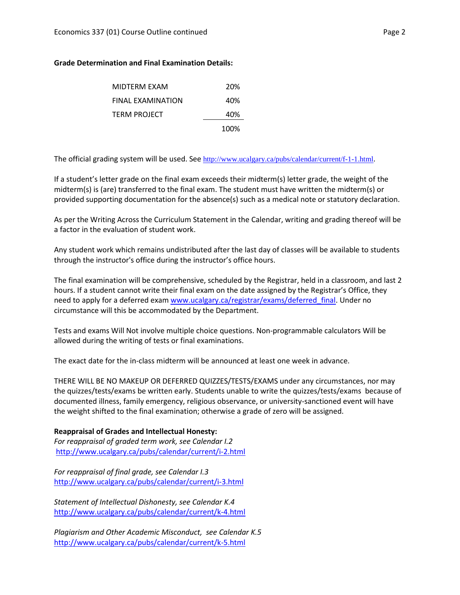## **Grade Determination and Final Examination Details:**

| MIDTERM EXAM      | 20%  |
|-------------------|------|
| FINAL EXAMINATION | 40%  |
| TERM PROJECT      | 40%  |
|                   | 100% |

The official grading system will be used. See <http://www.ucalgary.ca/pubs/calendar/current/f-1-1.html>.

If a student's letter grade on the final exam exceeds their midterm(s) letter grade, the weight of the midterm(s) is (are) transferred to the final exam. The student must have written the midterm(s) or provided supporting documentation for the absence(s) such as a medical note or statutory declaration.

As per the Writing Across the Curriculum Statement in the Calendar, writing and grading thereof will be a factor in the evaluation of student work.

Any student work which remains undistributed after the last day of classes will be available to students through the instructor's office during the instructor's office hours.

The final examination will be comprehensive, scheduled by the Registrar, held in a classroom, and last 2 hours. If a student cannot write their final exam on the date assigned by the Registrar's Office, they need to apply for a deferred exam [www.ucalgary.ca/registrar/exams/deferred\\_final.](http://www.ucalgary.ca/registrar/exams/deferred_final) Under no circumstance will this be accommodated by the Department.

Tests and exams Will Not involve multiple choice questions. Non-programmable calculators Will be allowed during the writing of tests or final examinations.

The exact date for the in-class midterm will be announced at least one week in advance.

THERE WILL BE NO MAKEUP OR DEFERRED QUIZZES/TESTS/EXAMS under any circumstances, nor may the quizzes/tests/exams be written early. Students unable to write the quizzes/tests/exams because of documented illness, family emergency, religious observance, or university-sanctioned event will have the weight shifted to the final examination; otherwise a grade of zero will be assigned.

# **Reappraisal of Grades and Intellectual Honesty:**

*For reappraisal of graded term work, see Calendar I.2* <http://www.ucalgary.ca/pubs/calendar/current/i-2.html>

*For reappraisal of final grade, see Calendar I.3* <http://www.ucalgary.ca/pubs/calendar/current/i-3.html>

*Statement of Intellectual Dishonesty, see Calendar K.4* <http://www.ucalgary.ca/pubs/calendar/current/k-4.html>

*Plagiarism and Other Academic Misconduct, see Calendar K.5* <http://www.ucalgary.ca/pubs/calendar/current/k-5.html>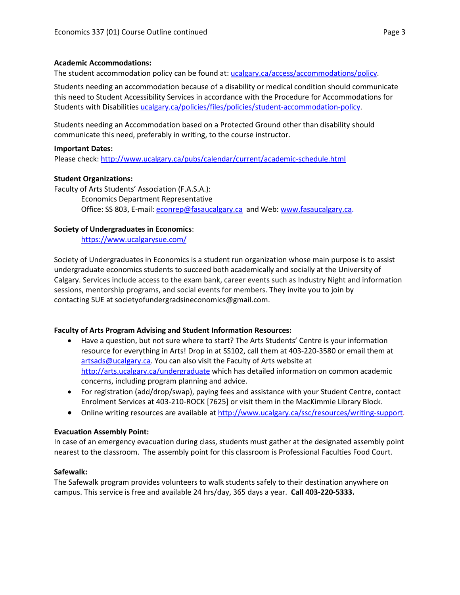## **Academic Accommodations:**

The student accommodation policy can be found at: [ucalgary.ca/access/accommodations/policy.](http://www.ucalgary.ca/access/accommodations/policy)

Students needing an accommodation because of a disability or medical condition should communicate this need to Student Accessibility Services in accordance with the Procedure for Accommodations for Students with Disabilities [ucalgary.ca/policies/files/policies/student-accommodation-policy.](http://www.ucalgary.ca/policies/files/policies/student-accommodation-policy.pdf)

Students needing an Accommodation based on a Protected Ground other than disability should communicate this need, preferably in writing, to the course instructor.

#### **Important Dates:**

Please check:<http://www.ucalgary.ca/pubs/calendar/current/academic-schedule.html>

## **Student Organizations:**

Faculty of Arts Students' Association (F.A.S.A.): Economics Department Representative Office: SS 803, E-mail: [econrep@fasaucalgary.ca](mailto:econrep@fasaucalgary.ca) and Web[: www.fasaucalgary.ca.](http://www.fasaucalgary.ca/)

## **Society of Undergraduates in Economics**:

<https://www.ucalgarysue.com/>

Society of Undergraduates in Economics is a student run organization whose main purpose is to assist undergraduate economics students to succeed both academically and socially at the University of Calgary. Services include access to the exam bank, career events such as Industry Night and information sessions, mentorship programs, and social events for members. They invite you to join by contacting SUE at societyofundergradsineconomics@gmail.com.

## **Faculty of Arts Program Advising and Student Information Resources:**

- Have a question, but not sure where to start? The Arts Students' Centre is your information resource for everything in Arts! Drop in at SS102, call them at 403-220-3580 or email them at [artsads@ucalgary.ca.](mailto:artsads@ucalgary.ca) You can also visit the Faculty of Arts website at <http://arts.ucalgary.ca/undergraduate> which has detailed information on common academic concerns, including program planning and advice.
- For registration (add/drop/swap), paying fees and assistance with your Student Centre, contact Enrolment Services at 403-210-ROCK [7625] or visit them in the MacKimmie Library Block.
- Online writing resources are available at [http://www.ucalgary.ca/ssc/resources/writing-support.](http://www.ucalgary.ca/ssc/resources/writing-support)

## **Evacuation Assembly Point:**

In case of an emergency evacuation during class, students must gather at the designated assembly point nearest to the classroom. The assembly point for this classroom is Professional Faculties Food Court.

## **Safewalk:**

The Safewalk program provides volunteers to walk students safely to their destination anywhere on campus. This service is free and available 24 hrs/day, 365 days a year. **Call 403-220-5333.**